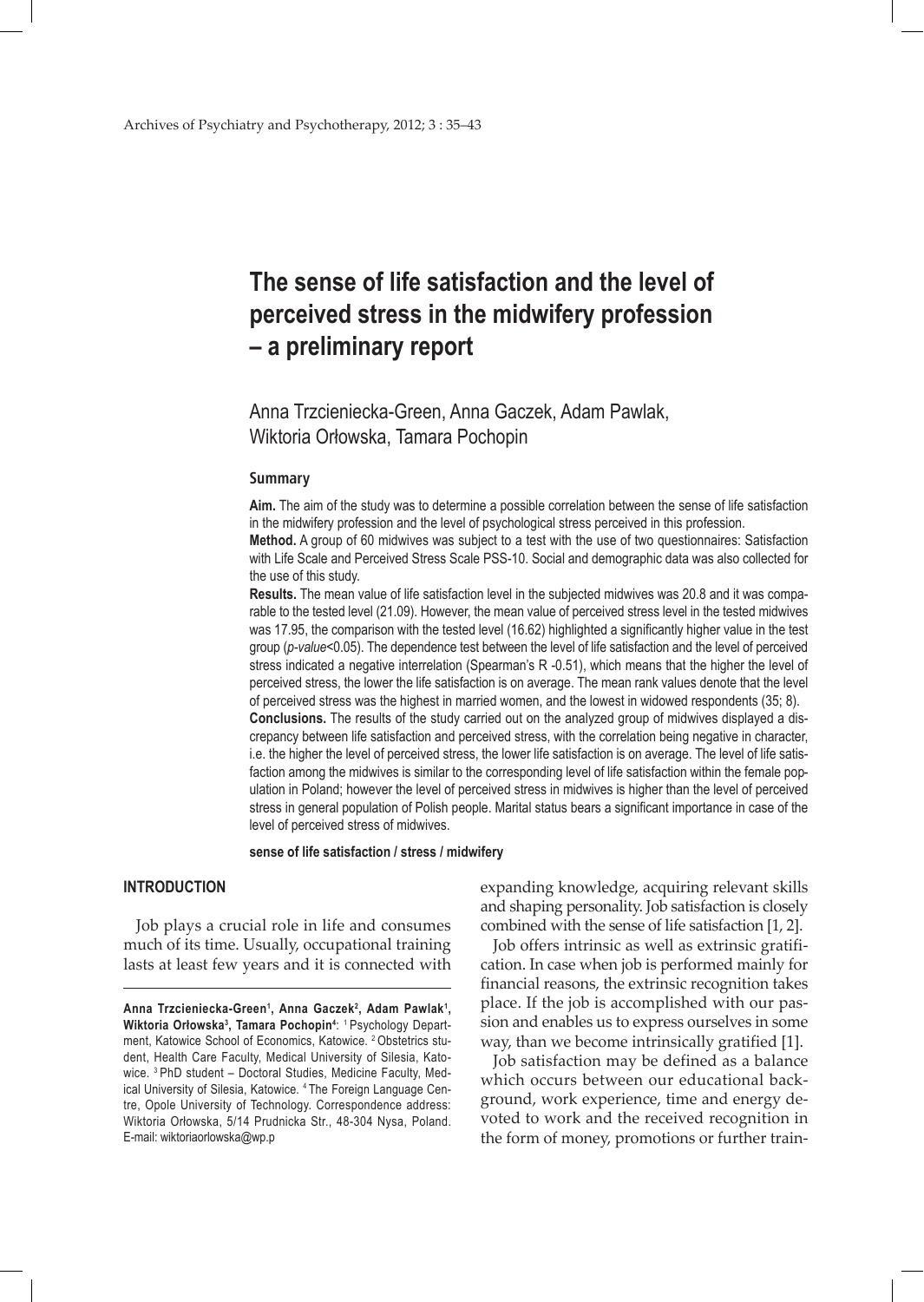# **The sense of life satisfaction and the level of perceived stress in the midwifery profession – a preliminary report**

Anna Trzcieniecka-Green, Anna Gaczek, Adam Pawlak, Wiktoria Orłowska, Tamara Pochopin

#### **Summary**

**Aim.** The aim of the study was to determine a possible correlation between the sense of life satisfaction in the midwifery profession and the level of psychological stress perceived in this profession.

**Method.** A group of 60 midwives was subject to a test with the use of two questionnaires: Satisfaction with Life Scale and Perceived Stress Scale PSS-10. Social and demographic data was also collected for the use of this study.

**Results.** The mean value of life satisfaction level in the subjected midwives was 20.8 and it was comparable to the tested level (21.09). However, the mean value of perceived stress level in the tested midwives was 17.95, the comparison with the tested level (16.62) highlighted a significantly higher value in the test group (*p-value*<0.05). The dependence test between the level of life satisfaction and the level of perceived stress indicated a negative interrelation (Spearman's R -0.51), which means that the higher the level of perceived stress, the lower the life satisfaction is on average. The mean rank values denote that the level of perceived stress was the highest in married women, and the lowest in widowed respondents (35; 8). **Conclusions.** The results of the study carried out on the analyzed group of midwives displayed a discrepancy between life satisfaction and perceived stress, with the correlation being negative in character, i.e. the higher the level of perceived stress, the lower life satisfaction is on average. The level of life satisfaction among the midwives is similar to the corresponding level of life satisfaction within the female population in Poland; however the level of perceived stress in midwives is higher than the level of perceived stress in general population of Polish people. Marital status bears a significant importance in case of the level of perceived stress of midwives.

**sense of life satisfaction / stress / midwifery**

# **INTRODUCTION**

Job plays a crucial role in life and consumes much of its time. Usually, occupational training lasts at least few years and it is connected with expanding knowledge, acquiring relevant skills and shaping personality. Job satisfaction is closely combined with the sense of life satisfaction [1, 2].

Job offers intrinsic as well as extrinsic gratification. In case when job is performed mainly for financial reasons, the extrinsic recognition takes place. If the job is accomplished with our passion and enables us to express ourselves in some way, than we become intrinsically gratified [1].

Job satisfaction may be defined as a balance which occurs between our educational background, work experience, time and energy devoted to work and the received recognition in the form of money, promotions or further train-

Anna Trzcieniecka-Green<sup>1</sup>, Anna Gaczek<sup>2</sup>, Adam Pawlak<sup>1</sup>, **Wiktoria Orłowska<sup>3</sup> , Tamara Pochopin4** : 1 Psychology Department, Katowice School of Economics, Katowice. 2 Obstetrics student, Health Care Faculty, Medical University of Silesia, Katowice. 3 PhD student – Doctoral Studies, Medicine Faculty, Medical University of Silesia, Katowice. 4 The Foreign Language Centre, Opole University of Technology. Correspondence address: Wiktoria Orłowska, 5/14 Prudnicka Str., 48-304 Nysa, Poland. E-mail: wiktoriaorlowska@wp.p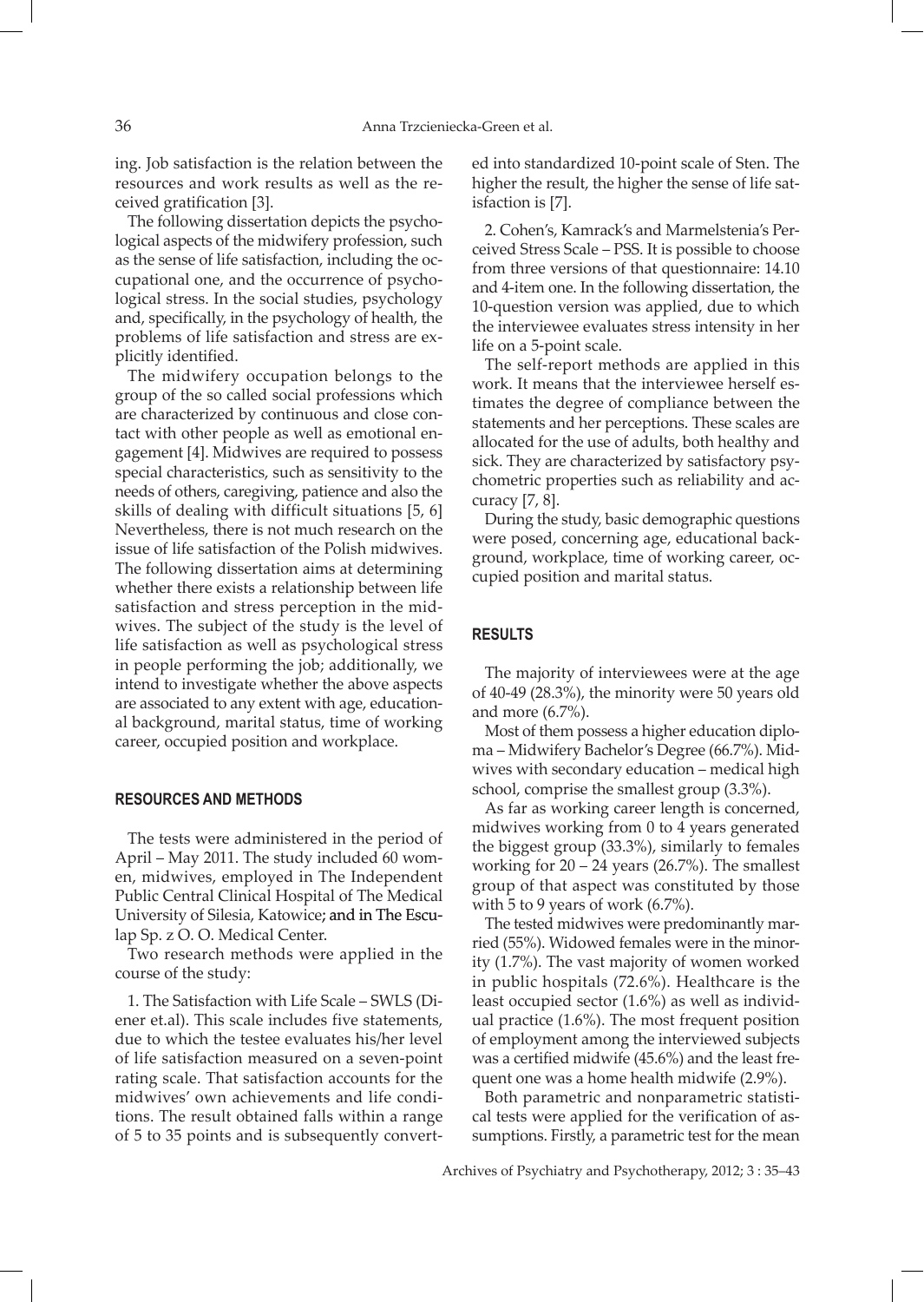ing. Job satisfaction is the relation between the resources and work results as well as the received gratification [3].

The following dissertation depicts the psychological aspects of the midwifery profession, such as the sense of life satisfaction, including the occupational one, and the occurrence of psychological stress. In the social studies, psychology and, specifically, in the psychology of health, the problems of life satisfaction and stress are explicitly identified.

The midwifery occupation belongs to the group of the so called social professions which are characterized by continuous and close contact with other people as well as emotional engagement [4]. Midwives are required to possess special characteristics, such as sensitivity to the needs of others, caregiving, patience and also the skills of dealing with difficult situations [5, 6] Nevertheless, there is not much research on the issue of life satisfaction of the Polish midwives. The following dissertation aims at determining whether there exists a relationship between life satisfaction and stress perception in the midwives. The subject of the study is the level of life satisfaction as well as psychological stress in people performing the job; additionally, we intend to investigate whether the above aspects are associated to any extent with age, educational background, marital status, time of working career, occupied position and workplace.

# **RESOURCES AND METHODS**

The tests were administered in the period of April – May 2011. The study included 60 women, midwives, employed in The Independent Public Central Clinical Hospital of The Medical University of Silesia, Katowice; and in The Esculap Sp. z O. O. Medical Center.

Two research methods were applied in the course of the study:

1. The Satisfaction with Life Scale – SWLS (Diener et.al). This scale includes five statements, due to which the testee evaluates his/her level of life satisfaction measured on a seven-point rating scale. That satisfaction accounts for the midwives' own achievements and life conditions. The result obtained falls within a range of 5 to 35 points and is subsequently converted into standardized 10-point scale of Sten. The higher the result, the higher the sense of life satisfaction is [7].

2. Cohen's, Kamrack's and Marmelstenia's Perceived Stress Scale – PSS. It is possible to choose from three versions of that questionnaire: 14.10 and 4-item one. In the following dissertation, the 10-question version was applied, due to which the interviewee evaluates stress intensity in her life on a 5-point scale.

The self-report methods are applied in this work. It means that the interviewee herself estimates the degree of compliance between the statements and her perceptions. These scales are allocated for the use of adults, both healthy and sick. They are characterized by satisfactory psychometric properties such as reliability and accuracy [7, 8].

During the study, basic demographic questions were posed, concerning age, educational background, workplace, time of working career, occupied position and marital status.

### **RESULTS**

The majority of interviewees were at the age of 40-49 (28.3%), the minority were 50 years old and more (6.7%).

Most of them possess a higher education diploma – Midwifery Bachelor's Degree (66.7%). Midwives with secondary education – medical high school, comprise the smallest group (3.3%).

As far as working career length is concerned, midwives working from 0 to 4 years generated the biggest group (33.3%), similarly to females working for  $20 - 24$  years (26.7%). The smallest group of that aspect was constituted by those with 5 to 9 years of work (6.7%).

The tested midwives were predominantly married (55%). Widowed females were in the minority (1.7%). The vast majority of women worked in public hospitals (72.6%). Healthcare is the least occupied sector (1.6%) as well as individual practice (1.6%). The most frequent position of employment among the interviewed subjects was a certified midwife (45.6%) and the least frequent one was a home health midwife (2.9%).

Both parametric and nonparametric statistical tests were applied for the verification of assumptions. Firstly, a parametric test for the mean

Archives of Psychiatry and Psychotherapy, 2012; 3 : 35–43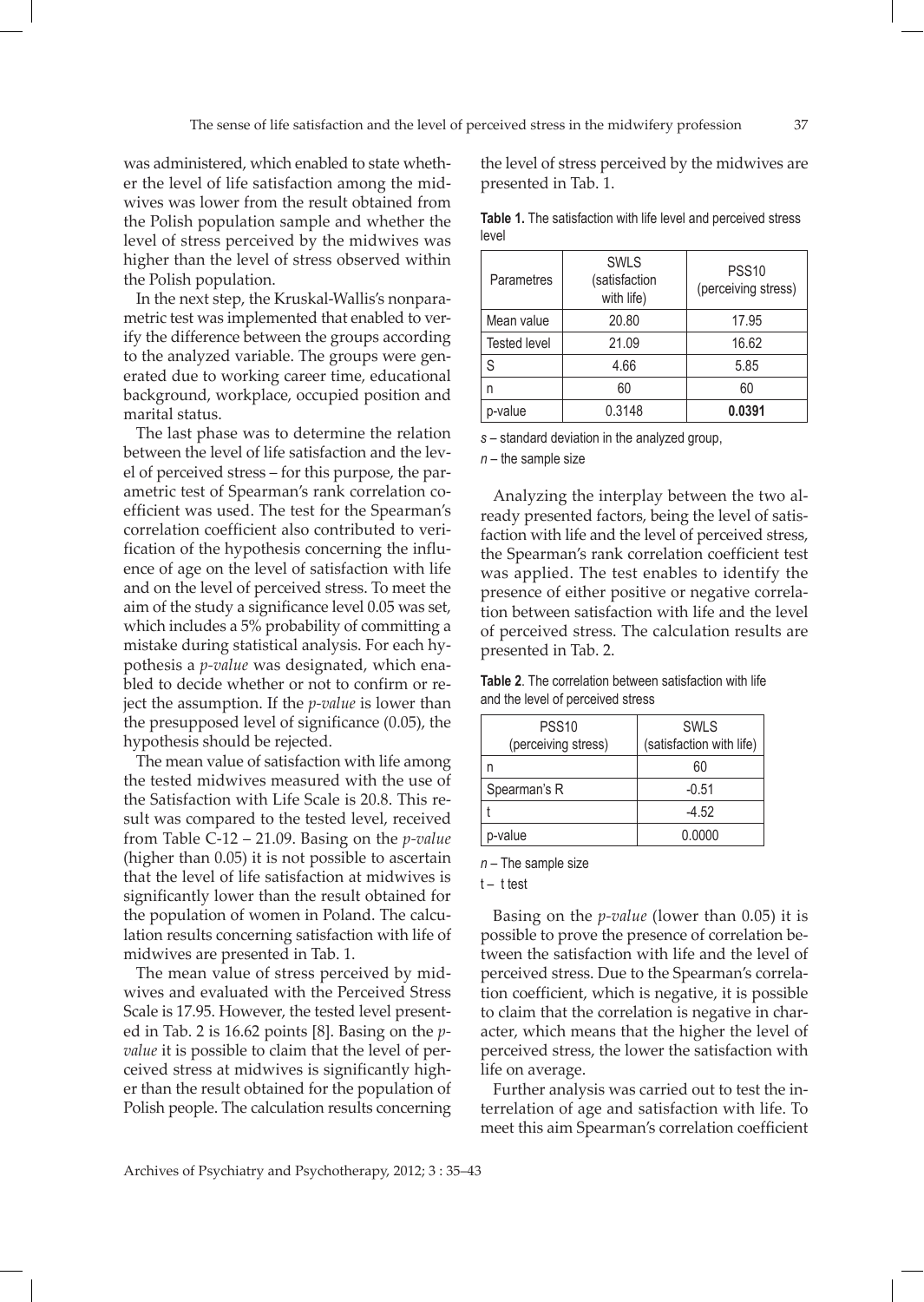was administered, which enabled to state whether the level of life satisfaction among the midwives was lower from the result obtained from the Polish population sample and whether the level of stress perceived by the midwives was higher than the level of stress observed within the Polish population.

In the next step, the Kruskal-Wallis's nonparametric test was implemented that enabled to verify the difference between the groups according to the analyzed variable. The groups were generated due to working career time, educational background, workplace, occupied position and marital status.

The last phase was to determine the relation between the level of life satisfaction and the level of perceived stress – for this purpose, the parametric test of Spearman's rank correlation coefficient was used. The test for the Spearman's correlation coefficient also contributed to verification of the hypothesis concerning the influence of age on the level of satisfaction with life and on the level of perceived stress. To meet the aim of the study a significance level 0.05 was set, which includes a 5% probability of committing a mistake during statistical analysis. For each hypothesis a *p-value* was designated, which enabled to decide whether or not to confirm or reject the assumption. If the *p-value* is lower than the presupposed level of significance (0.05), the hypothesis should be rejected.

The mean value of satisfaction with life among the tested midwives measured with the use of the Satisfaction with Life Scale is 20.8. This result was compared to the tested level, received from Table C-12 – 21.09. Basing on the *p-value* (higher than 0.05) it is not possible to ascertain that the level of life satisfaction at midwives is significantly lower than the result obtained for the population of women in Poland. The calculation results concerning satisfaction with life of midwives are presented in Tab. 1.

The mean value of stress perceived by midwives and evaluated with the Perceived Stress Scale is 17.95. However, the tested level presented in Tab. 2 is 16.62 points [8]. Basing on the *pvalue* it is possible to claim that the level of perceived stress at midwives is significantly higher than the result obtained for the population of Polish people. The calculation results concerning

the level of stress perceived by the midwives are presented in Tab. 1.

|       |  | Table 1. The satisfaction with life level and perceived stress |  |  |  |
|-------|--|----------------------------------------------------------------|--|--|--|
| level |  |                                                                |  |  |  |

| Parametres          | <b>SWLS</b><br>(satisfaction<br>with life) | <b>PSS10</b><br>(perceiving stress) |  |  |
|---------------------|--------------------------------------------|-------------------------------------|--|--|
| Mean value          | 20.80                                      | 17.95                               |  |  |
| <b>Tested level</b> | 21.09                                      | 16.62                               |  |  |
| S                   | 4.66                                       | 5.85                                |  |  |
|                     | 60                                         | 60                                  |  |  |
| p-value             | 0.3148                                     | 0.0391                              |  |  |
|                     |                                            |                                     |  |  |

*s* – standard deviation in the analyzed group,

*n* – the sample size

Analyzing the interplay between the two already presented factors, being the level of satisfaction with life and the level of perceived stress, the Spearman's rank correlation coefficient test was applied. The test enables to identify the presence of either positive or negative correlation between satisfaction with life and the level of perceived stress. The calculation results are presented in Tab. 2.

**Table 2**. The correlation between satisfaction with life and the level of perceived stress

| <b>PSS10</b>        | <b>SWLS</b>              |  |  |
|---------------------|--------------------------|--|--|
| (perceiving stress) | (satisfaction with life) |  |  |
|                     | 60                       |  |  |
| Spearman's R        | $-0.51$                  |  |  |
|                     | $-4.52$                  |  |  |
| p-value             | 0.0000                   |  |  |

*n* – The sample size

## $t - t$  test

Basing on the *p-value* (lower than 0.05) it is possible to prove the presence of correlation between the satisfaction with life and the level of perceived stress. Due to the Spearman's correlation coefficient, which is negative, it is possible to claim that the correlation is negative in character, which means that the higher the level of perceived stress, the lower the satisfaction with life on average.

Further analysis was carried out to test the interrelation of age and satisfaction with life. To meet this aim Spearman's correlation coefficient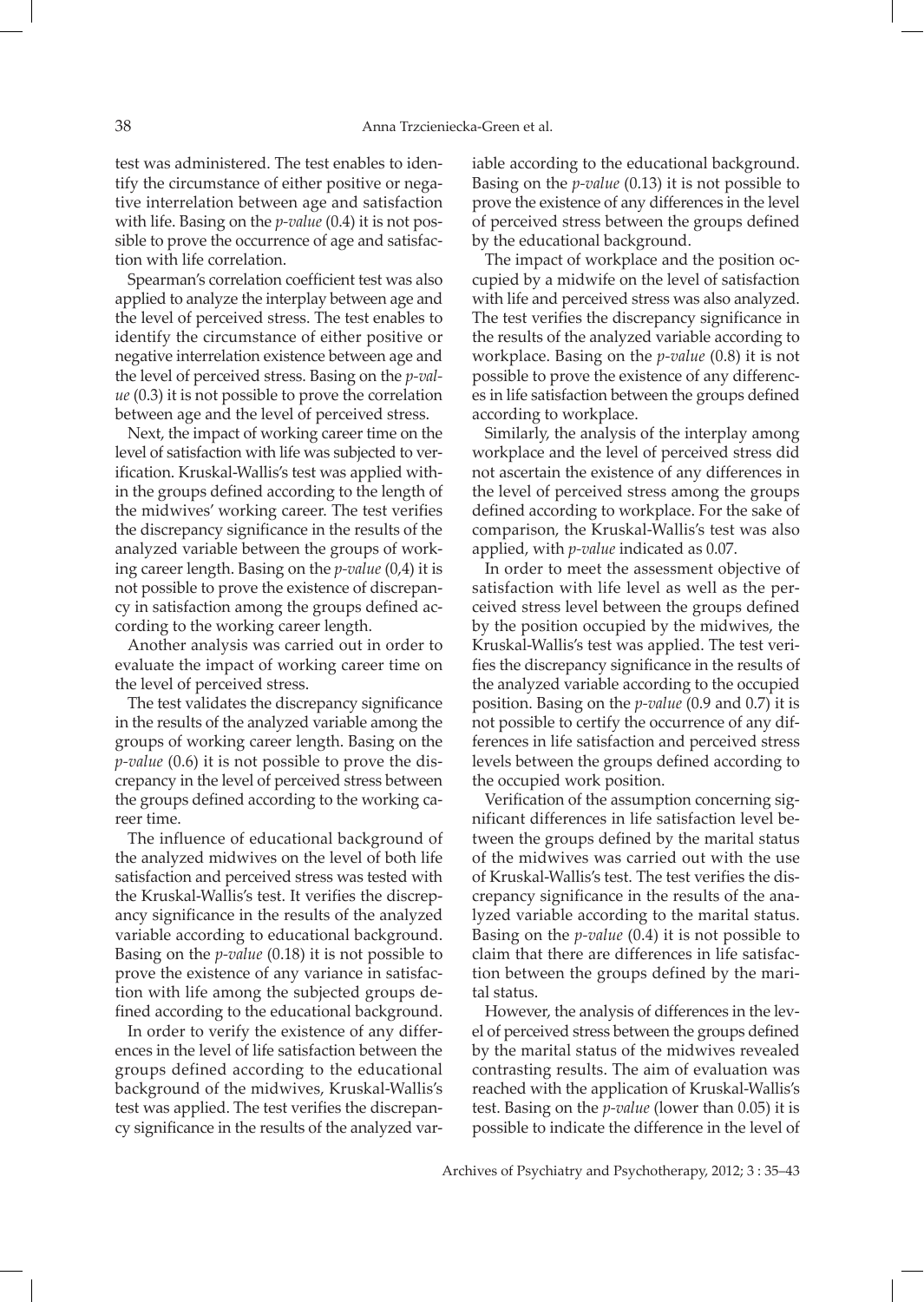test was administered. The test enables to identify the circumstance of either positive or negative interrelation between age and satisfaction with life. Basing on the *p-value* (0.4) it is not possible to prove the occurrence of age and satisfaction with life correlation.

Spearman's correlation coefficient test was also applied to analyze the interplay between age and the level of perceived stress. The test enables to identify the circumstance of either positive or negative interrelation existence between age and the level of perceived stress. Basing on the *p-value* (0.3) it is not possible to prove the correlation between age and the level of perceived stress.

Next, the impact of working career time on the level of satisfaction with life was subjected to verification. Kruskal-Wallis's test was applied within the groups defined according to the length of the midwives' working career. The test verifies the discrepancy significance in the results of the analyzed variable between the groups of working career length. Basing on the *p-value* (0,4) it is not possible to prove the existence of discrepancy in satisfaction among the groups defined according to the working career length.

Another analysis was carried out in order to evaluate the impact of working career time on the level of perceived stress.

The test validates the discrepancy significance in the results of the analyzed variable among the groups of working career length. Basing on the *p-value* (0.6) it is not possible to prove the discrepancy in the level of perceived stress between the groups defined according to the working career time.

The influence of educational background of the analyzed midwives on the level of both life satisfaction and perceived stress was tested with the Kruskal-Wallis's test. It verifies the discrepancy significance in the results of the analyzed variable according to educational background. Basing on the *p-value* (0.18) it is not possible to prove the existence of any variance in satisfaction with life among the subjected groups defined according to the educational background.

In order to verify the existence of any differences in the level of life satisfaction between the groups defined according to the educational background of the midwives, Kruskal-Wallis's test was applied. The test verifies the discrepancy significance in the results of the analyzed variable according to the educational background. Basing on the *p-value* (0.13) it is not possible to prove the existence of any differences in the level of perceived stress between the groups defined by the educational background.

The impact of workplace and the position occupied by a midwife on the level of satisfaction with life and perceived stress was also analyzed. The test verifies the discrepancy significance in the results of the analyzed variable according to workplace. Basing on the *p-value* (0.8) it is not possible to prove the existence of any differences in life satisfaction between the groups defined according to workplace.

Similarly, the analysis of the interplay among workplace and the level of perceived stress did not ascertain the existence of any differences in the level of perceived stress among the groups defined according to workplace. For the sake of comparison, the Kruskal-Wallis's test was also applied, with *p-value* indicated as 0.07.

In order to meet the assessment objective of satisfaction with life level as well as the perceived stress level between the groups defined by the position occupied by the midwives, the Kruskal-Wallis's test was applied. The test verifies the discrepancy significance in the results of the analyzed variable according to the occupied position. Basing on the *p-value* (0.9 and 0.7) it is not possible to certify the occurrence of any differences in life satisfaction and perceived stress levels between the groups defined according to the occupied work position.

Verification of the assumption concerning significant differences in life satisfaction level between the groups defined by the marital status of the midwives was carried out with the use of Kruskal-Wallis's test. The test verifies the discrepancy significance in the results of the analyzed variable according to the marital status. Basing on the *p-value* (0.4) it is not possible to claim that there are differences in life satisfaction between the groups defined by the marital status.

However, the analysis of differences in the level of perceived stress between the groups defined by the marital status of the midwives revealed contrasting results. The aim of evaluation was reached with the application of Kruskal-Wallis's test. Basing on the *p-value* (lower than 0.05) it is possible to indicate the difference in the level of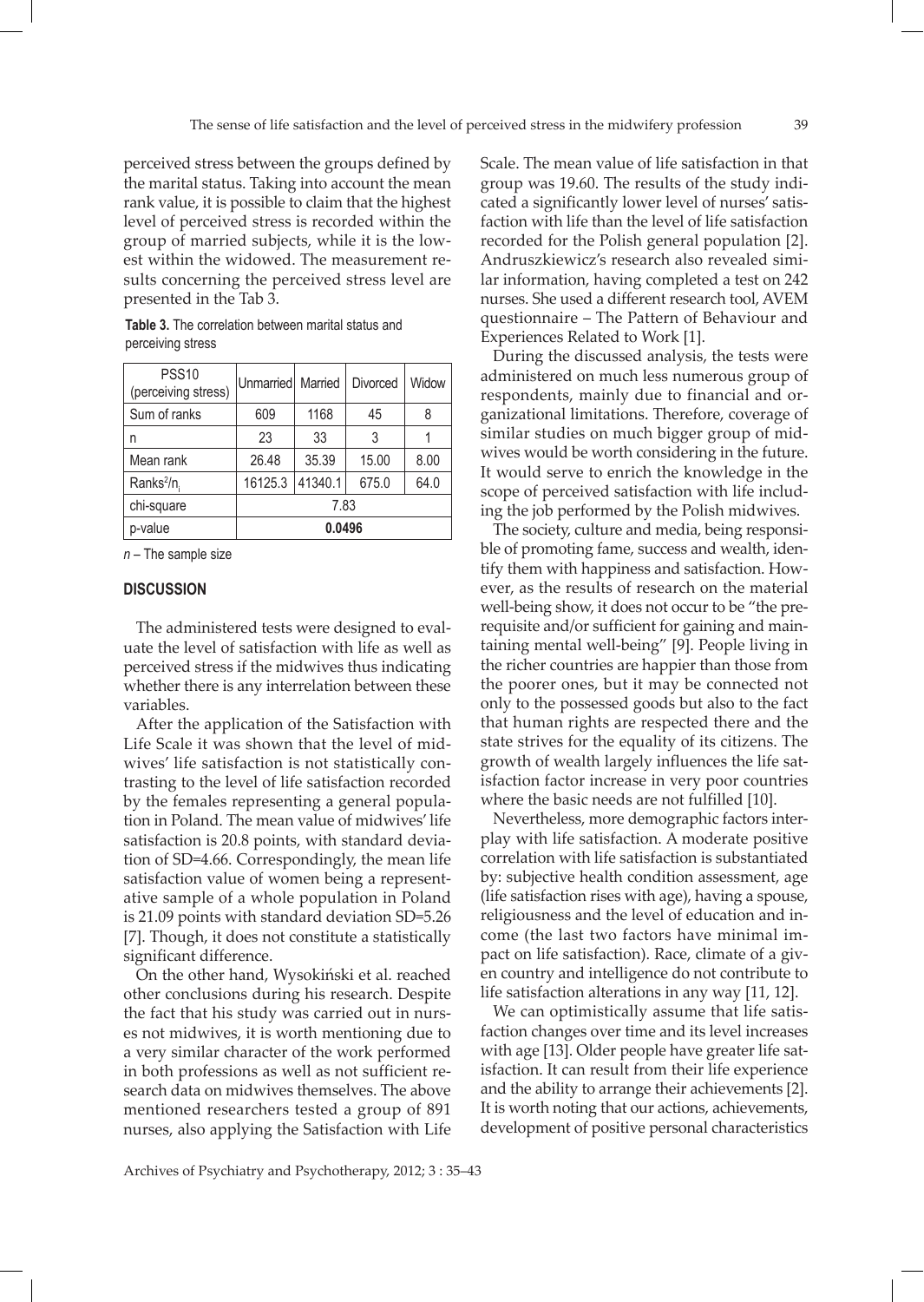perceived stress between the groups defined by the marital status. Taking into account the mean rank value, it is possible to claim that the highest level of perceived stress is recorded within the group of married subjects, while it is the lowest within the widowed. The measurement results concerning the perceived stress level are presented in the Tab 3.

| <b>Table 3.</b> The correlation between marital status and |  |  |
|------------------------------------------------------------|--|--|
| perceiving stress                                          |  |  |
|                                                            |  |  |

| <b>PSS10</b><br>(perceiving stress) | Unmarried   Married |         | Divorced | Widow |  |  |
|-------------------------------------|---------------------|---------|----------|-------|--|--|
| Sum of ranks                        | 609                 | 1168    | 45       | 8     |  |  |
| n                                   | 23                  | 33      | 3        |       |  |  |
| Mean rank                           | 26.48               | 35.39   | 15.00    | 8.00  |  |  |
| Ranks <sup>2</sup> /n.              | 16125.3             | 41340.1 | 675.0    | 64.0  |  |  |
| chi-square                          | 7.83                |         |          |       |  |  |
| p-value                             | 0.0496              |         |          |       |  |  |

*n* – The sample size

#### **DISCUSSION**

The administered tests were designed to evaluate the level of satisfaction with life as well as perceived stress if the midwives thus indicating whether there is any interrelation between these variables.

After the application of the Satisfaction with Life Scale it was shown that the level of midwives' life satisfaction is not statistically contrasting to the level of life satisfaction recorded by the females representing a general population in Poland. The mean value of midwives' life satisfaction is 20.8 points, with standard deviation of SD=4.66. Correspondingly, the mean life satisfaction value of women being a representative sample of a whole population in Poland is 21.09 points with standard deviation SD=5.26 [7]. Though, it does not constitute a statistically significant difference.

On the other hand, Wysokiński et al. reached other conclusions during his research. Despite the fact that his study was carried out in nurses not midwives, it is worth mentioning due to a very similar character of the work performed in both professions as well as not sufficient research data on midwives themselves. The above mentioned researchers tested a group of 891 nurses, also applying the Satisfaction with Life

Scale. The mean value of life satisfaction in that group was 19.60. The results of the study indicated a significantly lower level of nurses' satisfaction with life than the level of life satisfaction recorded for the Polish general population [2]. Andruszkiewicz's research also revealed similar information, having completed a test on 242 nurses. She used a different research tool, AVEM questionnaire – The Pattern of Behaviour and Experiences Related to Work [1].

During the discussed analysis, the tests were administered on much less numerous group of respondents, mainly due to financial and organizational limitations. Therefore, coverage of similar studies on much bigger group of midwives would be worth considering in the future. It would serve to enrich the knowledge in the scope of perceived satisfaction with life including the job performed by the Polish midwives.

The society, culture and media, being responsible of promoting fame, success and wealth, identify them with happiness and satisfaction. However, as the results of research on the material well-being show, it does not occur to be "the prerequisite and/or sufficient for gaining and maintaining mental well-being" [9]. People living in the richer countries are happier than those from the poorer ones, but it may be connected not only to the possessed goods but also to the fact that human rights are respected there and the state strives for the equality of its citizens. The growth of wealth largely influences the life satisfaction factor increase in very poor countries where the basic needs are not fulfilled [10].

Nevertheless, more demographic factors interplay with life satisfaction. A moderate positive correlation with life satisfaction is substantiated by: subjective health condition assessment, age (life satisfaction rises with age), having a spouse, religiousness and the level of education and income (the last two factors have minimal impact on life satisfaction). Race, climate of a given country and intelligence do not contribute to life satisfaction alterations in any way [11, 12].

We can optimistically assume that life satisfaction changes over time and its level increases with age [13]. Older people have greater life satisfaction. It can result from their life experience and the ability to arrange their achievements [2]. It is worth noting that our actions, achievements, development of positive personal characteristics

Archives of Psychiatry and Psychotherapy, 2012; 3 : 35–43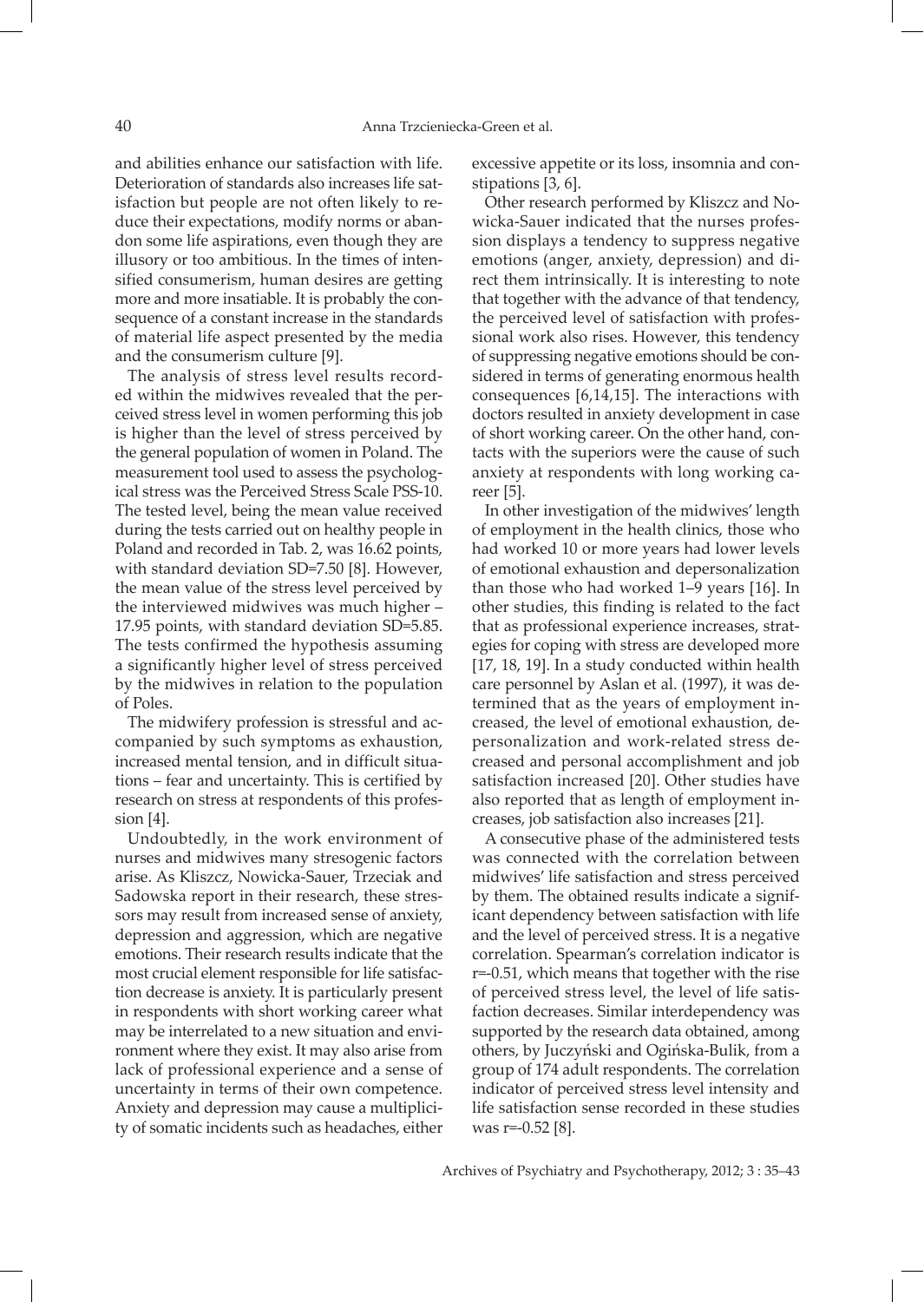and abilities enhance our satisfaction with life. Deterioration of standards also increases life satisfaction but people are not often likely to reduce their expectations, modify norms or abandon some life aspirations, even though they are illusory or too ambitious. In the times of intensified consumerism, human desires are getting more and more insatiable. It is probably the consequence of a constant increase in the standards of material life aspect presented by the media and the consumerism culture [9].

The analysis of stress level results recorded within the midwives revealed that the perceived stress level in women performing this job is higher than the level of stress perceived by the general population of women in Poland. The measurement tool used to assess the psychological stress was the Perceived Stress Scale PSS-10. The tested level, being the mean value received during the tests carried out on healthy people in Poland and recorded in Tab. 2, was 16.62 points, with standard deviation SD=7.50 [8]. However, the mean value of the stress level perceived by the interviewed midwives was much higher – 17.95 points, with standard deviation SD=5.85. The tests confirmed the hypothesis assuming a significantly higher level of stress perceived by the midwives in relation to the population of Poles.

The midwifery profession is stressful and accompanied by such symptoms as exhaustion, increased mental tension, and in difficult situations – fear and uncertainty. This is certified by research on stress at respondents of this profession [4].

Undoubtedly, in the work environment of nurses and midwives many stresogenic factors arise. As Kliszcz, Nowicka-Sauer, Trzeciak and Sadowska report in their research, these stressors may result from increased sense of anxiety, depression and aggression, which are negative emotions. Their research results indicate that the most crucial element responsible for life satisfaction decrease is anxiety. It is particularly present in respondents with short working career what may be interrelated to a new situation and environment where they exist. It may also arise from lack of professional experience and a sense of uncertainty in terms of their own competence. Anxiety and depression may cause a multiplicity of somatic incidents such as headaches, either

excessive appetite or its loss, insomnia and constipations [3, 6].

Other research performed by Kliszcz and Nowicka-Sauer indicated that the nurses profession displays a tendency to suppress negative emotions (anger, anxiety, depression) and direct them intrinsically. It is interesting to note that together with the advance of that tendency, the perceived level of satisfaction with professional work also rises. However, this tendency of suppressing negative emotions should be considered in terms of generating enormous health consequences [6,14,15]. The interactions with doctors resulted in anxiety development in case of short working career. On the other hand, contacts with the superiors were the cause of such anxiety at respondents with long working career [5].

In other investigation of the midwives' length of employment in the health clinics, those who had worked 10 or more years had lower levels of emotional exhaustion and depersonalization than those who had worked 1–9 years [16]. In other studies, this finding is related to the fact that as professional experience increases, strategies for coping with stress are developed more [17, 18, 19]. In a study conducted within health care personnel by Aslan et al. (1997), it was determined that as the years of employment increased, the level of emotional exhaustion, depersonalization and work-related stress decreased and personal accomplishment and job satisfaction increased [20]. Other studies have also reported that as length of employment increases, job satisfaction also increases [21].

A consecutive phase of the administered tests was connected with the correlation between midwives' life satisfaction and stress perceived by them. The obtained results indicate a significant dependency between satisfaction with life and the level of perceived stress. It is a negative correlation. Spearman's correlation indicator is r=-0.51, which means that together with the rise of perceived stress level, the level of life satisfaction decreases. Similar interdependency was supported by the research data obtained, among others, by Juczyński and Ogińska-Bulik, from a group of 174 adult respondents. The correlation indicator of perceived stress level intensity and life satisfaction sense recorded in these studies was r=-0.52 [8].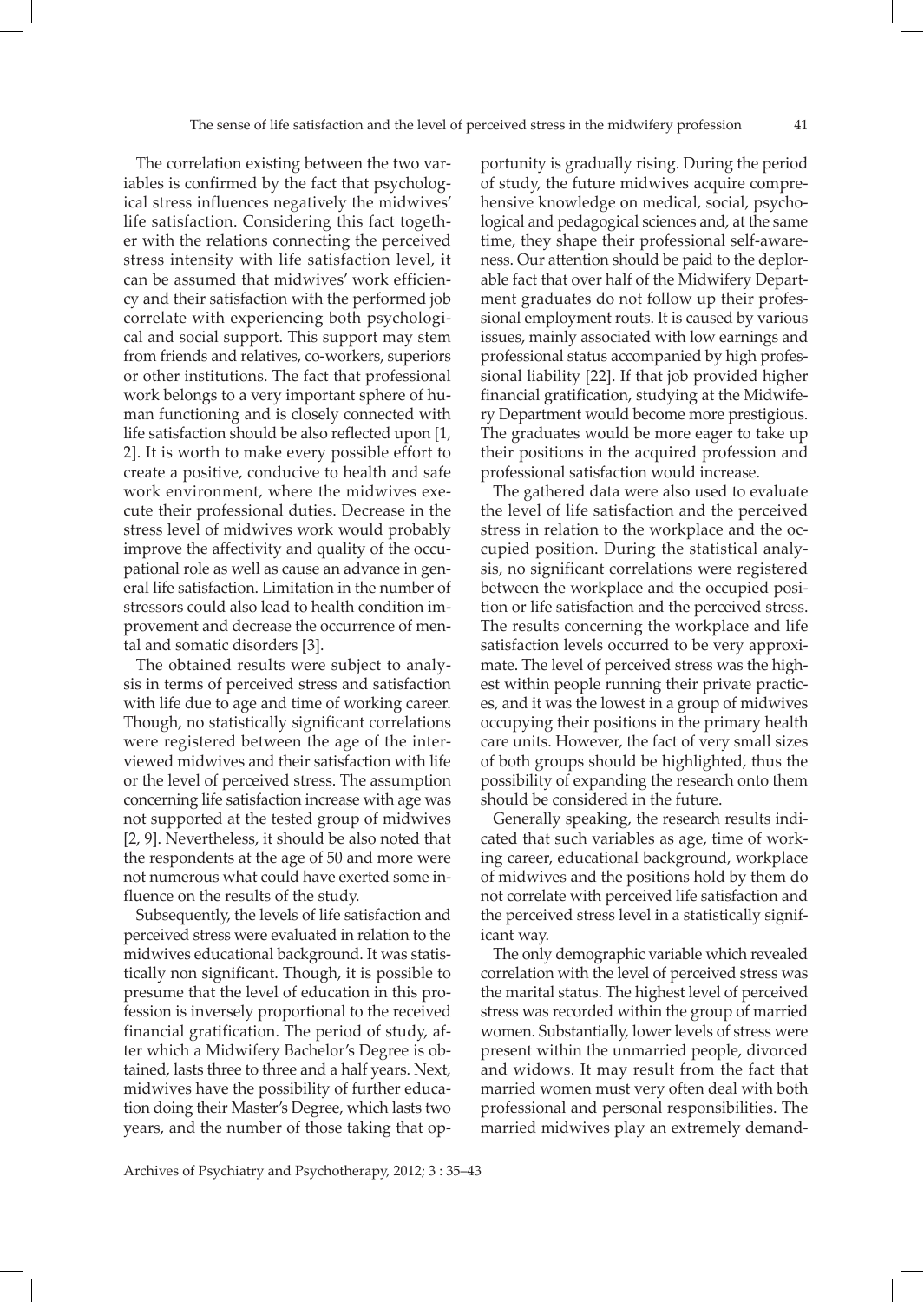The correlation existing between the two variables is confirmed by the fact that psychological stress influences negatively the midwives' life satisfaction. Considering this fact together with the relations connecting the perceived stress intensity with life satisfaction level, it can be assumed that midwives' work efficiency and their satisfaction with the performed job correlate with experiencing both psychological and social support. This support may stem from friends and relatives, co-workers, superiors or other institutions. The fact that professional work belongs to a very important sphere of human functioning and is closely connected with life satisfaction should be also reflected upon [1, 2]. It is worth to make every possible effort to create a positive, conducive to health and safe work environment, where the midwives execute their professional duties. Decrease in the stress level of midwives work would probably improve the affectivity and quality of the occupational role as well as cause an advance in general life satisfaction. Limitation in the number of stressors could also lead to health condition improvement and decrease the occurrence of mental and somatic disorders [3].

The obtained results were subject to analysis in terms of perceived stress and satisfaction with life due to age and time of working career. Though, no statistically significant correlations were registered between the age of the interviewed midwives and their satisfaction with life or the level of perceived stress. The assumption concerning life satisfaction increase with age was not supported at the tested group of midwives [2, 9]. Nevertheless, it should be also noted that the respondents at the age of 50 and more were not numerous what could have exerted some influence on the results of the study.

Subsequently, the levels of life satisfaction and perceived stress were evaluated in relation to the midwives educational background. It was statistically non significant. Though, it is possible to presume that the level of education in this profession is inversely proportional to the received financial gratification. The period of study, after which a Midwifery Bachelor's Degree is obtained, lasts three to three and a half years. Next, midwives have the possibility of further education doing their Master's Degree, which lasts two years, and the number of those taking that opportunity is gradually rising. During the period of study, the future midwives acquire comprehensive knowledge on medical, social, psychological and pedagogical sciences and, at the same time, they shape their professional self-awareness. Our attention should be paid to the deplorable fact that over half of the Midwifery Department graduates do not follow up their professional employment routs. It is caused by various issues, mainly associated with low earnings and professional status accompanied by high professional liability [22]. If that job provided higher financial gratification, studying at the Midwifery Department would become more prestigious. The graduates would be more eager to take up their positions in the acquired profession and professional satisfaction would increase.

The gathered data were also used to evaluate the level of life satisfaction and the perceived stress in relation to the workplace and the occupied position. During the statistical analysis, no significant correlations were registered between the workplace and the occupied position or life satisfaction and the perceived stress. The results concerning the workplace and life satisfaction levels occurred to be very approximate. The level of perceived stress was the highest within people running their private practices, and it was the lowest in a group of midwives occupying their positions in the primary health care units. However, the fact of very small sizes of both groups should be highlighted, thus the possibility of expanding the research onto them should be considered in the future.

Generally speaking, the research results indicated that such variables as age, time of working career, educational background, workplace of midwives and the positions hold by them do not correlate with perceived life satisfaction and the perceived stress level in a statistically significant way.

The only demographic variable which revealed correlation with the level of perceived stress was the marital status. The highest level of perceived stress was recorded within the group of married women. Substantially, lower levels of stress were present within the unmarried people, divorced and widows. It may result from the fact that married women must very often deal with both professional and personal responsibilities. The married midwives play an extremely demand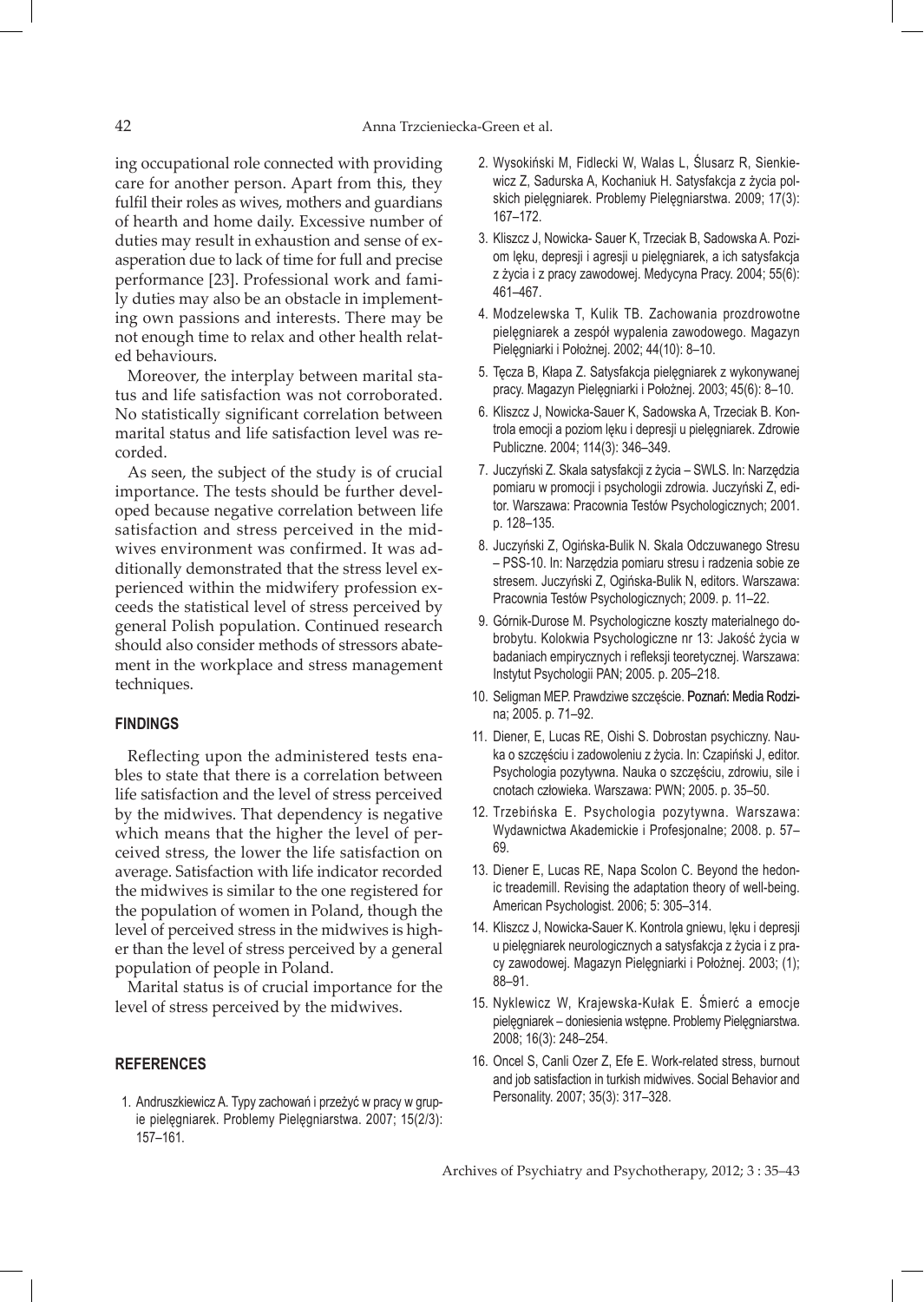ing occupational role connected with providing care for another person. Apart from this, they fulfil their roles as wives, mothers and guardians of hearth and home daily. Excessive number of duties may result in exhaustion and sense of exasperation due to lack of time for full and precise performance [23]. Professional work and family duties may also be an obstacle in implementing own passions and interests. There may be not enough time to relax and other health related behaviours.

Moreover, the interplay between marital status and life satisfaction was not corroborated. No statistically significant correlation between marital status and life satisfaction level was recorded.

As seen, the subject of the study is of crucial importance. The tests should be further developed because negative correlation between life satisfaction and stress perceived in the midwives environment was confirmed. It was additionally demonstrated that the stress level experienced within the midwifery profession exceeds the statistical level of stress perceived by general Polish population. Continued research should also consider methods of stressors abatement in the workplace and stress management techniques.

#### **FINDINGS**

Reflecting upon the administered tests enables to state that there is a correlation between life satisfaction and the level of stress perceived by the midwives. That dependency is negative which means that the higher the level of perceived stress, the lower the life satisfaction on average. Satisfaction with life indicator recorded the midwives is similar to the one registered for the population of women in Poland, though the level of perceived stress in the midwives is higher than the level of stress perceived by a general population of people in Poland.

Marital status is of crucial importance for the level of stress perceived by the midwives.

# **REFERENCES**

 1. Andruszkiewicz A. Typy zachowań i przeżyć w pracy w grupie pielęgniarek. Problemy Pielęgniarstwa. 2007; 15(2/3): 157–161.

- 2. Wysokiński M, Fidlecki W, Walas L, Ślusarz R, Sienkiewicz Z, Sadurska A, Kochaniuk H. Satysfakcja z życia polskich pielęgniarek. Problemy Pielęgniarstwa. 2009; 17(3): 167–172.
- 3. Kliszcz J, Nowicka- Sauer K, Trzeciak B, Sadowska A. Poziom lęku, depresji i agresji u pielęgniarek, a ich satysfakcja z życia i z pracy zawodowej. Medycyna Pracy. 2004; 55(6): 461–467.
- 4. Modzelewska T, Kulik TB. Zachowania prozdrowotne pielęgniarek a zespół wypalenia zawodowego. Magazyn Pielęgniarki i Położnej. 2002; 44(10): 8–10.
- 5. Tęcza B, Kłapa Z. Satysfakcja pielęgniarek z wykonywanej pracy. Magazyn Pielęgniarki i Położnej. 2003; 45(6): 8–10.
- 6. Kliszcz J, Nowicka-Sauer K, Sadowska A, Trzeciak B. Kontrola emocji a poziom lęku i depresji u pielęgniarek. Zdrowie Publiczne. 2004; 114(3): 346–349.
- 7. Juczyński Z. Skala satysfakcji z życia SWLS. In: Narzędzia pomiaru w promocji i psychologii zdrowia. Juczyński Z, editor. Warszawa: Pracownia Testów Psychologicznych; 2001. p. 128–135.
- 8. Juczyński Z, Ogińska-Bulik N. Skala Odczuwanego Stresu – PSS-10. In: Narzędzia pomiaru stresu i radzenia sobie ze stresem. Juczyński Z, Ogińska-Bulik N, editors. Warszawa: Pracownia Testów Psychologicznych; 2009. p. 11–22.
- 9. Górnik-Durose M. Psychologiczne koszty materialnego dobrobytu. Kolokwia Psychologiczne nr 13: Jakość życia w badaniach empirycznych i refleksji teoretycznej. Warszawa: Instytut Psychologii PAN; 2005. p. 205–218.
- 10. Seligman MEP. Prawdziwe szczęście. Poznań: Media Rodzina; 2005. p. 71–92.
- 11. Diener, E, Lucas RE, Oishi S. Dobrostan psychiczny. Nauka o szczęściu i zadowoleniu z życia. In: Czapiński J, editor. Psychologia pozytywna. Nauka o szczęściu, zdrowiu, sile i cnotach człowieka. Warszawa: PWN; 2005. p. 35–50.
- 12. Trzebińska E. Psychologia pozytywna. Warszawa: Wydawnictwa Akademickie i Profesjonalne; 2008. p. 57– 69.
- 13. Diener E, Lucas RE, Napa Scolon C. Beyond the hedonic treademill. Revising the adaptation theory of well-being. American Psychologist. 2006; 5: 305–314.
- 14. Kliszcz J, Nowicka-Sauer K. Kontrola gniewu, lęku i depresji u pielęgniarek neurologicznych a satysfakcja z życia i z pracy zawodowej. Magazyn Pielęgniarki i Położnej. 2003; (1); 88–91.
- 15. Nyklewicz W, Krajewska-Kułak E. Śmierć a emocje pielęgniarek – doniesienia wstępne. Problemy Pielęgniarstwa. 2008; 16(3): 248–254.
- 16. Oncel S, Canli Ozer Z, Efe E. Work-related stress, burnout and job satisfaction in turkish midwives. Social Behavior and Personality. 2007; 35(3): 317–328.

Archives of Psychiatry and Psychotherapy, 2012; 3 : 35–43